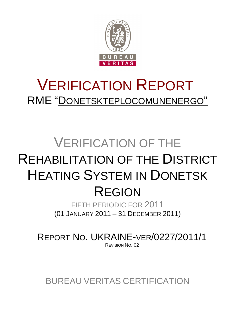

# VERIFICATION REPORT RME "DONETSKTEPLOCOMUNENERGO"

# VERIFICATION OF THE REHABILITATION OF THE DISTRICT HEATING SYSTEM IN DONETSK REGION

FIFTH PERIODIC FOR 2011 (01 JANUARY 2011 – 31 DECEMBER 2011)

REPORT NO. UKRAINE-VER/0227/2011/1 REVISION NO. 02

BUREAU VERITAS CERTIFICATION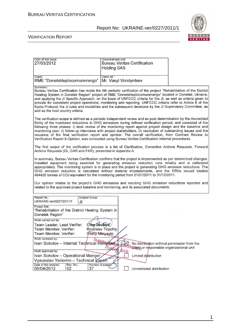$\overline{1}$ 



#### VERIFICATION REPORT

Date of first issue:

| 27/03/2012                                                                                                                                                                                                                                                                                                                                                                                                                                                                                                                                                                                                                                                                              | <b>Bureau Veritas Certification</b><br><b>Holding SAS</b> |                                             |  |  |  |  |
|-----------------------------------------------------------------------------------------------------------------------------------------------------------------------------------------------------------------------------------------------------------------------------------------------------------------------------------------------------------------------------------------------------------------------------------------------------------------------------------------------------------------------------------------------------------------------------------------------------------------------------------------------------------------------------------------|-----------------------------------------------------------|---------------------------------------------|--|--|--|--|
| Client:<br>RME "Donetskteplocomunenergo"                                                                                                                                                                                                                                                                                                                                                                                                                                                                                                                                                                                                                                                | Client ref.:<br>Mr. Vasyl Vorotyntsev                     |                                             |  |  |  |  |
| Summary:<br>Bureau Veritas Certification has made the 5th periodic verification of the project "Rehabilitation of the District<br>Heating System in Donetsk Region" project of RME "Donetskteplocomunenergo" located in Donetsk, Ukraine,<br>and applying the JI Specific Approach, on the basis of UNFCCC criteria for the JI, as well as criteria given to<br>provide for consistent project operations, monitoring and reporting. UNFCCC criteria refer to Article 6 of the<br>Kyoto Protocol, the JI rules and modalities and the subsequent decisions by the JI Supervisory Committee, as<br>well as the host country criteria.                                                    |                                                           |                                             |  |  |  |  |
| The verification scope is defined as a periodic independent review and ex post determination by the Accredited<br>Entity of the monitored reductions in GHG emissions during defined verification period, and consisted of the<br>following three phases: i) desk review of the monitoring report against project design and the baseline and<br>monitoring plan; ii) follow-up interviews with project stakeholders; iii) resolution of outstanding issues and the<br>issuance of the final verification report and opinion. The overall verification, from Contract Review to<br>Verification Report & Opinion, was conducted using Bureau Veritas Certification internal procedures. |                                                           |                                             |  |  |  |  |
| The first output of the verification process is a list of Clarification, Corrective Actions Requests, Forward<br>Actions Requests (CL, CAR and FAR), presented in Appendix A.                                                                                                                                                                                                                                                                                                                                                                                                                                                                                                           |                                                           |                                             |  |  |  |  |
| In summary, Bureau Veritas Certification confirms that the project is implemented as per determined changes.<br>Installed equipment being essential for generating emission reduction runs reliably and is calibrated<br>appropriately. The monitoring system is in place and the project is generating GHG emission reductions. The<br>GHG emission reduction is calculated without material misstatements, and the ERUs issued totalize<br>464426 tonnes of CO2 equivalent for the monitoring period from 01/01/2011 to 31/12/2011.                                                                                                                                                   |                                                           |                                             |  |  |  |  |
| Our opinion relates to the project's GHG emissions and resulting GHG emission reductions reported and<br>related to the approved project baseline and monitoring, and its associated documents.                                                                                                                                                                                                                                                                                                                                                                                                                                                                                         |                                                           |                                             |  |  |  |  |
| Report No.:<br>Subject Group:<br>UKRAINE-ver/0227/2011/1<br>JI                                                                                                                                                                                                                                                                                                                                                                                                                                                                                                                                                                                                                          |                                                           |                                             |  |  |  |  |
| Project title:<br>"Rehabilitation of the District Heating System in<br>Donetsk Region"                                                                                                                                                                                                                                                                                                                                                                                                                                                                                                                                                                                                  |                                                           |                                             |  |  |  |  |
| Work carried out by:                                                                                                                                                                                                                                                                                                                                                                                                                                                                                                                                                                                                                                                                    |                                                           |                                             |  |  |  |  |
| Team Leader, Lead Verifier:<br>Oleg Skoblyk<br>Team Member, Verifier:<br><b>Vitaliy Minyaylo</b><br>Team Member, Verifier:                                                                                                                                                                                                                                                                                                                                                                                                                                                                                                                                                              | Rostislav Topchiy                                         |                                             |  |  |  |  |
| Work reviewed by:                                                                                                                                                                                                                                                                                                                                                                                                                                                                                                                                                                                                                                                                       |                                                           |                                             |  |  |  |  |
| Ivan Sokolov - Internal Technical Reviewer                                                                                                                                                                                                                                                                                                                                                                                                                                                                                                                                                                                                                                              |                                                           | No distribution without permission from the |  |  |  |  |
| Work approved by:                                                                                                                                                                                                                                                                                                                                                                                                                                                                                                                                                                                                                                                                       | ficclient or responsible organizational unit              |                                             |  |  |  |  |
| Ivan Sokolov - Operational Manger                                                                                                                                                                                                                                                                                                                                                                                                                                                                                                                                                                                                                                                       | Limited distribution                                      |                                             |  |  |  |  |
| Vyaceslav Yeriomin - Technical Expert                                                                                                                                                                                                                                                                                                                                                                                                                                                                                                                                                                                                                                                   |                                                           |                                             |  |  |  |  |
| Date of this revision:<br>Number of pages<br>Rev. No.:<br>05/04/2012<br>02<br>37                                                                                                                                                                                                                                                                                                                                                                                                                                                                                                                                                                                                        | Unrestricted distribution                                 |                                             |  |  |  |  |

Organizational unit: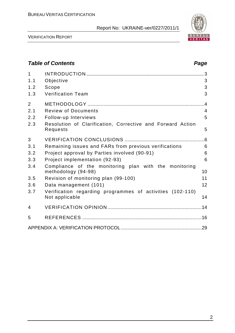

VERIFICATION REPORT

# **Table of Contents Page 2014** 1 INTRODUCTION ................................................................................................... 3 1.1 Objective 3 1.2 Scope 3 1.3 Verification Team 3 2 METHODOLOGY ........................................................................................4 2.1 Review of Documents 4 2.2 Follow-up Interviews 5 2.3 Resolution of Clarification, Corrective and Forward Action Requests 5 3 VERIFICATION CONCLUSIONS ............................................................6 3.1 Remaining issues and FARs from previous verifications 6 3.2 Project approval by Parties involved (90-91) 6 3.3 Project implementation (92-93) 6 3.4 Compliance of the monitoring plan with the monitoring methodology (94-98) 10 3.5 Revision of monitoring plan (99-100) 11 3.6 Data management (101) 12 3.7 Verification regarding programmes of activities (102-110) Not applicable 14 4 VERIFICATION OPINION .......................................................................14 5 REFERENCES ..........................................................................................16 APPENDIX A: VERIFICATION PROTOCOL.............................................................29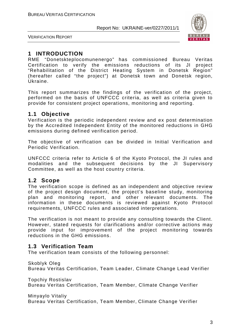

VERIFICATION REPORT

### **1 INTRODUCTION**

RME "Donetskteplocomunenergo" has commissioned Bureau Veritas Certification to verify the emissions reductions of its JI project "Rehabilitation of the District Heating System in Donetsk Region" (hereafter called "the project") at Donetsk town and Donetsk region, Ukraine.

This report summarizes the findings of the verification of the project, performed on the basis of UNFCCC criteria, as well as criteria given to provide for consistent project operations, monitoring and reporting.

#### **1.1 Objective**

Verification is the periodic independent review and ex post determination by the Accredited Independent Entity of the monitored reductions in GHG emissions during defined verification period.

The objective of verification can be divided in Initial Verification and Periodic Verification.

UNFCCC criteria refer to Article 6 of the Kyoto Protocol, the JI rules and modalities and the subsequent decisions by the JI Supervisory Committee, as well as the host country criteria.

#### **1.2 Scope**

The verification scope is defined as an independent and objective review of the project design document, the project's baseline study, monitoring plan and monitoring report, and other relevant documents. The information in these documents is reviewed against Kyoto Protocol requirements, UNFCCC rules and associated interpretations.

The verification is not meant to provide any consulting towards the Client. However, stated requests for clarifications and/or corrective actions may provide input for improvement of the project monitoring towards reductions in the GHG emissions.

#### **1.3 Verification Team**

The verification team consists of the following personnel:

Skoblyk Oleg Bureau Veritas Certification, Team Leader, Climate Change Lead Verifier

Topchiy Rostislav Bureau Veritas Certification, Team Member, Climate Change Verifier

Minyaylo Vitaliy

Bureau Veritas Certification, Team Member, Climate Change Verifier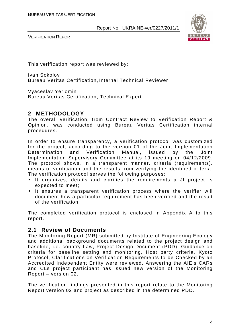

VERIFICATION REPORT

This verification report was reviewed by:

Ivan Sokolov Bureau Veritas Certification, Internal Technical Reviewer

Vyaceslav Yeriomin Bureau Veritas Certification, Technical Expert

# **2 METHODOLOGY**

The overall verification, from Contract Review to Verification Report & Opinion, was conducted using Bureau Veritas Certification internal procedures.

In order to ensure transparency, a verification protocol was customized for the project, according to the version 01 of the Joint Implementation Determination and Verification Manual, issued by the Joint Implementation Supervisory Committee at its 19 meeting on 04/12/2009. The protocol shows, in a transparent manner, criteria (requirements), means of verification and the results from verifying the identified criteria. The verification protocol serves the following purposes:

- It organizes, details and clarifies the requirements a JI project is expected to meet;
- It ensures a transparent verification process where the verifier will document how a particular requirement has been verified and the result of the verification.

The completed verification protocol is enclosed in Appendix A to this report.

#### **2.1 Review of Documents**

The Monitoring Report (MR) submitted by Institute of Engineering Ecology and additional background documents related to the project design and baseline, i.e. country Law, Project Design Document (PDD), Guidance on criteria for baseline setting and monitoring, Host party criteria, Kyoto Protocol, Clarifications on Verification Requirements to be Checked by an Accredited Independent Entity were reviewed. Answering the AIE's CARs and CLs project participant has issued new version of the Monitoring Report – version 02.

The verification findings presented in this report relate to the Monitoring Report version 02 and project as described in the determined PDD.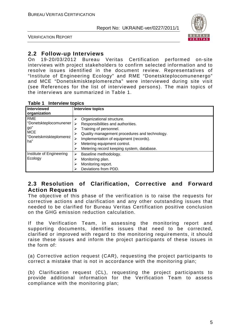

VERIFICATION REPORT

### **2.2 Follow-up Interviews**

On 19-20/03/2012 Bureau Veritas Certification performed on-site interviews with project stakeholders to confirm selected information and to resolve issues identified in the document review. Representatives of "Institute of Engineering Ecology" and RME "Donetskteplocomunenergo" and MCE "Donetskmiskteplomerezha" were interviewed during site visit (see References for the list of interviewed persons). The main topics of the interviews are summarized in Table 1.

| Table 1 | <b>Interview topics</b> |  |
|---------|-------------------------|--|
|---------|-------------------------|--|

|                                      | IUNIV I<br><b>HINDI YIVII WUNIVO</b>          |  |  |  |  |
|--------------------------------------|-----------------------------------------------|--|--|--|--|
| <b>Interviewed</b>                   | <b>Interview topics</b>                       |  |  |  |  |
| organization                         |                                               |  |  |  |  |
| <b>RME</b>                           | Organizational structure.                     |  |  |  |  |
| "Donetskteplocomunener               | Responsibilities and authorities.             |  |  |  |  |
| go"                                  | Training of personnel.                        |  |  |  |  |
| <b>MCE</b><br>"Donetskmiskteplomerez | Quality management procedures and technology. |  |  |  |  |
| ha"                                  | Implementation of equipment (records).        |  |  |  |  |
|                                      | Metering equipment control.                   |  |  |  |  |
|                                      | Metering record keeping system, database.     |  |  |  |  |
| Institute of Engineering             | Baseline methodology.                         |  |  |  |  |
| Ecology                              | Monitoring plan.                              |  |  |  |  |
|                                      | Monitoring report.                            |  |  |  |  |
|                                      | Deviations from PDD.                          |  |  |  |  |

#### **2.3 Resolution of Clarification, Corrective and Forward Action Requests**

The objective of this phase of the verification is to raise the requests for corrective actions and clarification and any other outstanding issues that needed to be clarified for Bureau Veritas Certification positive conclusion on the GHG emission reduction calculation.

If the Verification Team, in assessing the monitoring report and supporting documents, identifies issues that need to be corrected, clarified or improved with regard to the monitoring requirements, it should raise these issues and inform the project participants of these issues in the form of:

(a) Corrective action request (CAR), requesting the project participants to correct a mistake that is not in accordance with the monitoring plan;

(b) Clarification request (CL), requesting the project participants to provide additional information for the Verification Team to assess compliance with the monitoring plan;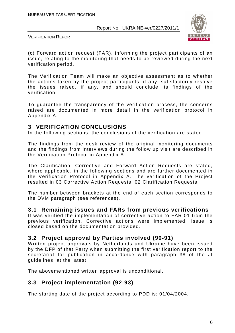

VERIFICATION REPORT

(c) Forward action request (FAR), informing the project participants of an issue, relating to the monitoring that needs to be reviewed during the next verification period.

The Verification Team will make an objective assessment as to whether the actions taken by the project participants, if any, satisfactorily resolve the issues raised, if any, and should conclude its findings of the verification.

To guarantee the transparency of the verification process, the concerns raised are documented in more detail in the verification protocol in Appendix A.

# **3 VERIFICATION CONCLUSIONS**

In the following sections, the conclusions of the verification are stated.

The findings from the desk review of the original monitoring documents and the findings from interviews during the follow up visit are described in the Verification Protocol in Appendix A.

The Clarification, Corrective and Forward Action Requests are stated, where applicable, in the following sections and are further documented in the Verification Protocol in Appendix A. The verification of the Project resulted in 03 Corrective Action Requests, 02 Clarification Requests.

The number between brackets at the end of each section corresponds to the DVM paragraph (see references).

#### **3.1 Remaining issues and FARs from previous verifications**

It was verified the implementation of corrective action to FAR 01 from the previous verification. Corrective actions were implemented. Issue is closed based on the documentation provided.

#### **3.2 Project approval by Parties involved (90-91)**

Written project approvals by Netherlands and Ukraine have been issued by the DFP of that Party when submitting the first verification report to the secretariat for publication in accordance with paragraph 38 of the JI guidelines, at the latest.

The abovementioned written approval is unconditional.

# **3.3 Project implementation (92-93)**

The starting date of the project according to PDD is: 01/04/2004.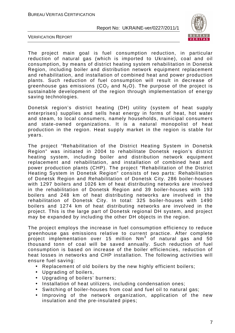

VERIFICATION REPORT

The project main goal is fuel consumption reduction, in particular reduction of natural gas (which is imported to Ukraine), coal and oil consumption, by means of district heating system rehabilitation in Donetsk Region, including boiler and distribution network equipment replacement and rehabilitation, and installation of combined heat and power production plants. Such reduction of fuel consumption will result in decrease of greenhouse gas emissions (CO<sub>2</sub> and N<sub>2</sub>O). The purpose of the project is sustainable development of the region through implementation of energy saving technologies.

Donetsk region's district heating (DH) utility (system of heat supply enterprises) supplies and sells heat energy in forms of heat, hot water and steam, to local consumers, namely households, municipal consumers and state-owned organizations. It is a natural monopolist of heat production in the region. Heat supply market in the region is stable for years.

The project "Rehabilitation of the District Heating System in Donetsk Region" was initiated in 2004 to rehabilitate Donetsk region's district heating system, including boiler and distribution network equipment replacement and rehabilitation, and installation of combined heat and power production plants (CHP). The project "Rehabilitation of the District Heating System in Donetsk Region" consists of two parts: Rehabilitation of Donetsk Region and Rehabilitation of Donetsk City. 286 boiler-houses with 1297 boilers and 1026 km of heat distributing networks are involved in the rehabilitation of Donetsk Region and 39 boiler-houses with 193 boilers and 248 km of heat distributing networks are involved in the rehabilitation of Donetsk City. In total: 325 boiler-houses with 1490 boilers and 1274 km of heat distributing networks are involved in the project. This is the large part of Donetsk regional DH system, and project may be expanded by including the other DH objects in the region.

The project employs the increase in fuel consumption efficiency to reduce greenhouse gas emissions relative to current practice. After complete project implementation over 15 million Nm<sup>3</sup> of natural gas and 50 thousand tonn of coal will be saved annually. Such reduction of fuel consumption is based on increase of the boiler efficiencies, reduction of heat losses in networks and CHP installation. The following activities will ensure fuel saving:

- Replacement of old boilers by the new highly efficient boilers;
- Upgrading of boilers,
- Upgrading of boilers' burners;
- Installation of heat utilizers, including condensation ones;
- Switching of boiler-houses from coal and fuel oil to natural gas;
- Improving of the network organization, application of the new insulation and the pre-insulated pipes;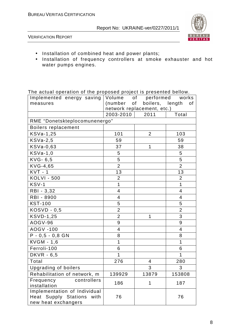

VERIFICATION REPORT

- Installation of combined heat and power plants;
- Installation of frequency controllers at smoke exhauster and hot water pumps engines.

The actual operation of the proposed project is presented bellow.

| The adtach operation of the proposed project to procented bollow.<br>Implemented energy saving   Volume |                | of performed               | works          |
|---------------------------------------------------------------------------------------------------------|----------------|----------------------------|----------------|
| measures                                                                                                |                | (number of boilers, length | οf             |
|                                                                                                         |                | network replacement, etc.) |                |
|                                                                                                         | 2003-2010      | 2011                       | Total          |
| RME "Donetskteplocomunenergo"                                                                           |                |                            |                |
| Boilers replacement                                                                                     |                |                            |                |
| $KSVa-1,25$                                                                                             | 101            | $\overline{2}$             | 103            |
| $KSVa-2,5$                                                                                              | 59             |                            | 59             |
| KSVa-0,63                                                                                               | 37             | 1                          | 38             |
| $KSVa-1,0$                                                                                              | 5              |                            | 5              |
| $KVG-6,5$                                                                                               | 5              |                            | 5              |
| KVG-4,65                                                                                                | $\overline{2}$ |                            | $\overline{2}$ |
| $KVT - 1$                                                                                               | 13             |                            | 13             |
| <b>KOLVI - 500</b>                                                                                      | $\overline{2}$ |                            | $\overline{2}$ |
| KSV-1                                                                                                   | 1              |                            | 1              |
| RBI - 3,32                                                                                              | 4              |                            | 4              |
| RBI - 8900                                                                                              | 4              |                            | 4              |
| <b>KST-100</b>                                                                                          | 5              |                            | 5              |
| $KOSVD - 0,5$                                                                                           | $\overline{2}$ |                            | $\overline{2}$ |
| <b>KSVD-1,25</b>                                                                                        | $\overline{2}$ | 1                          | 3              |
| <b>AOGV-96</b>                                                                                          | 9              |                            | 9              |
| <b>AOGV -100</b>                                                                                        | 4              |                            | $\overline{4}$ |
| $P - 0,5 - 0,8$ GN                                                                                      | 8              |                            | 8              |
| KVGM - 1,6                                                                                              | 1              |                            | 1              |
| Ferroli-100                                                                                             | 6              |                            | 6              |
| <b>DKVR</b> - 6,5                                                                                       | 1              |                            | 1              |
| Total                                                                                                   | 276            | 4                          | 280            |
| <b>Upgrading of boilers</b>                                                                             |                | 3                          | 3              |
| Rehabilitation of network, m                                                                            | 139929         | 13879                      | 153808         |
| controllers<br>Frequency                                                                                | 186            | 1                          | 187            |
| installation                                                                                            |                |                            |                |
| Implementation of Individual                                                                            |                |                            |                |
| Heat Supply Stations<br>with                                                                            | 76             |                            | 76             |
| new heat exchangers                                                                                     |                |                            |                |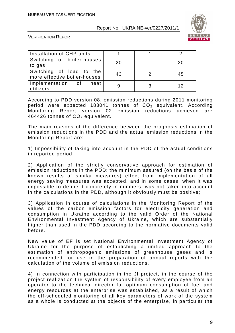

VERIFICATION REPORT

| Installation of CHP units                                |    |    |
|----------------------------------------------------------|----|----|
| Switching of boiler-houses<br>to gas                     | 20 | 20 |
| Switching of load to the<br>more effective boiler-houses | 43 | 45 |
| Implementation of heat<br>utilizers                      |    | 12 |

According to PDD version 08, emission reductions during 2011 monitoring period were expected 183041 tonnes of  $CO<sub>2</sub>$  equivalent. According Monitoring Report version 02 emission reductions achieved are 464426 tonnes of  $CO<sub>2</sub>$  equivalent.

The main reasons of the difference between the prognosis estimation of emission reductions in the PDD and the actual emission reductions in the Monitoring Report are:

1) Impossibility of taking into account in the PDD of the actual conditions in reported period;

2) Application of the strictly conservative approach for estimation of emission reductions in the PDD: the minimum assured (on the basis of the known results of similar measures) effect from implementation of all energy saving measures was accepted, and in some cases, when it was impossible to define it concretely in numbers, was not taken into account in the calculations in the PDD, although it obviously must be positive;

3) Application in course of calculations in the Monitoring Report of the values of the carbon emission factors for electricity generation and consumption in Ukraine according to the valid Order of the National Environmental Investment Agency of Ukraine, which are substantially higher than used in the PDD according to the normative documents valid before.

New value of EF is set National Environmental Investment Agency of Ukraine for the purpose of establishing a unified approach to the estimation of anthropogenic emissions of greenhouse gases and is recommended for use in the preparation of annual reports with the calculation of the volume of emission reductions.

4) In connection with participation in the JI project, in the course of the project realization the system of responsibility of every employee from an operator to the technical director for optimum consumption of fuel and energy resources at the enterprise was established, as a result of which the off-scheduled monitoring of all key parameters of work of the system as a whole is conducted at the objects of the enterprise, in particular the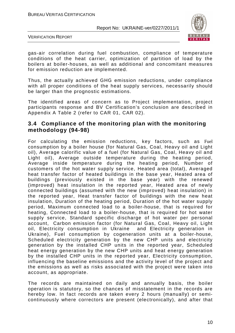

VERIFICATION REPORT

gas-air correlation during fuel combustion, compliance of temperature conditions of the heat carrier, optimization of partition of load by the boilers at boiler-houses, as well as additional and concomitant measures for emission reduction are implemented.

Thus, the actually achieved GHG emission reductions, under compliance with all proper conditions of the heat supply services, necessarily should be larger than the prognostic estimations.

The identified areas of concern as to Project implementation, project participants response and BV Certification's conclusion are described in Appendix A Table 2 (refer to CAR 01, CAR 02).

#### **3.4 Compliance of the monitoring plan with the monitoring methodology (94-98)**

For calculating the emission reductions, key factors, such as Fuel consumption by a boiler house (for Natural Gas, Coal, Heavy oil and Light oil), Average calorific value of a fuel (for Natural Gas, Coal, Heavy oil and Light oil), Average outside temperature during the heating period, Average inside temperature during the heating period, Number of customers of the hot water supply service, Heated area (total), Averaged heat transfer factor of heated buildings in the base year, Heated area of buildings (previously existed in the base year) with the renewed (improved) heat insulation in the reported year, Heated area of newly connected buildings (assumed with the new (improved) heat insulation) in the reported year, Heat transfer factor of buildings with the new heat insulation, Duration of the heating period, Duration of the hot water supply period, Maximum connected load to a boiler-house, that is required for heating, Connected load to a boiler-house, that is required for hot water supply service, Standard specific discharge of hot water per personal account, Carbon emission factor (for Natural Gas, Coal, Heavy oil, Light oil, Electricity consumption in Ukraine and Electricity generation in Ukraine), Fuel consumption by cogeneration units at a boiler-house, Scheduled electricity generation by the new CHP units and electricity generation by the installed CHP units in the reported year, Scheduled heat energy generation by the new CHP units and heat energy generation by the installed CHP units in the reported year, Electricity consumption, influencing the baseline emissions and the activity level of the project and the emissions as well as risks associated with the project were taken into account, as appropriate.

The records are maintained on daily and annually basis, the boiler operation is statutory, so the chances of misstatement in the records are hereby low. In fact records are taken every 2 hours (manually) or semicontinuously where correctors are present (electronically), and after that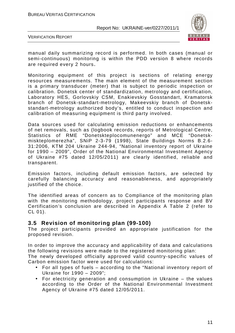

VERIFICATION REPORT

manual daily summarizing record is performed. In both cases (manual or semi-continuous) monitoring is within the PDD version 8 where records are required every 2 hours.

Monitoring equipment of this project is sections of relating energy resources measurements. The main element of the measurement section is a primary transducer (meter) that is subject to periodic inspection or calibration. Donetsk center of standardization, metrology and certification, Laboratory HES, Gorlovskiy CSM, Enakievskiy Gosstandart, Kramatorsk branch of Donetsk-standart-metrology, Makeevskiy branch of Donetskstandart-metrology authorized body's, entitled to conduct inspection and calibration of measuring equipment is third party involved.

Data sources used for calculating emission reductions or enhancements of net removals, such as (logbook records, reports of Metrological Centre, Statistics of RME "Donetskteplocomunenergo" and MCE "Donetskmiskteplomerezha", SNiP 2-3-79 (1998), State Buildings Norms B.2.6- 31:2006, KTM 204 Ukraine 244-94, "National inventory report of Ukraine for 1990 – 2009", Order of the National Environmental Investment Agency of Ukraine #75 dated 12/05/2011) are clearly identified, reliable and transparent.

Emission factors, including default emission factors, are selected by carefully balancing accuracy and reasonableness, and appropriately justified of the choice.

The identified areas of concern as to Compliance of the monitoring plan with the monitoring methodology, project participants response and BV Certification's conclusion are described in Appendix A Table 2 (refer to CL 01).

#### **3.5 Revision of monitoring plan (99-100)**

The project participants provided an appropriate justification for the proposed revision.

In order to improve the accuracy and applicability of data and calculations the following revisions were made to the registered monitoring plan: The newly developed officially approved valid country-specific values of

Carbon emission factor were used for calculations:

- For all types of fuels according to the "National inventory report of Ukraine for 1990 – 2009";
- For electricity generation and consumption in Ukraine the values according to the Order of the National Environmental Investment Agency of Ukraine #75 dated 12/05/2011.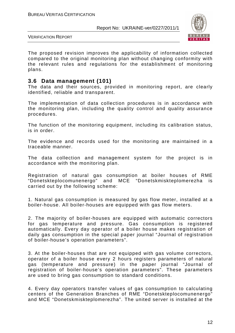

VERIFICATION REPORT

The proposed revision improves the applicability of information collected compared to the original monitoring plan without changing conformity with the relevant rules and regulations for the establishment of monitoring plans.

#### **3.6 Data management (101)**

The data and their sources, provided in monitoring report, are clearly identified, reliable and transparent.

The implementation of data collection procedures is in accordance with the monitoring plan, including the quality control and quality assurance procedures.

The function of the monitoring equipment, including its calibration status, is in order.

The evidence and records used for the monitoring are maintained in a traceable manner.

The data collection and management system for the project is in accordance with the monitoring plan.

Registration of natural gas consumption at boiler houses of RME "Donetskteplocomunenergo" and MCE "Donetskmiskteplomerezha is carried out by the following scheme:

1. Natural gas consumption is measured by gas flow meter, installed at a boiler-house. All boiler-houses are equipped with gas flow meters.

2. The majority of boiler-houses are equipped with automatic correctors for gas temperature and pressure. Gas consumption is registered automatically. Every day operator of a boiler house makes registration of daily gas consumption in the special paper journal "Journal of registration of boiler-house's operation parameters".

3. At the boiler-houses that are not equipped with gas volume correctors, operator of a boiler house every 2 hours registers parameters of natural gas (temperature and pressure) in the paper journal "Journal of registration of boiler-house's operation parameters". These parameters are used to bring gas consumption to standard conditions.

4. Every day operators transfer values of gas consumption to calculating centers of the Generation Branches of RME "Donetskteplocomunenergo" and MCE "Donetskmiskteplomerezha". The united server is installed at the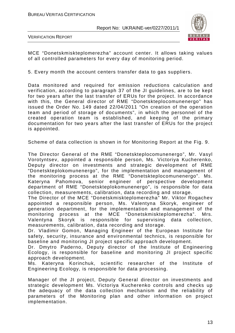

VERIFICATION REPORT

MCE "Donetskmiskteplomerezha" account center. It allows taking values of all controlled parameters for every day of monitoring period.

5. Every month the account centers transfer data to gas suppliers.

Data monitored and required for emission reductions calculation and verification, according to paragraph 37 of the JI guidelines, are to be kept for two years after the last transfer of ERUs for the project. In accordance with this, the General director of RME "Donetskteplocomunenergo" has issued the Order No. 149 dated 22/04/2011 "On creation of the operation team and period of storage of documents", in which the personnel of the created operation team is established, and keeping of the primary documentation for two years after the last transfer of ERUs for the project is appointed.

Scheme of data collection is shown in for Monitoring Report at the Fig. 9.

The Director General of the RME "Donetskteplocomunenergo", Mr. Vasyl Vorotyntsev, appointed a responsible person, Ms. Victoriya Kucherenko, Deputy director on investments and strategic development of RME "Donetskteplokomunenergo", for the implementation and management of the monitoring process at the RME "Donetskteplocomunenergo". Ms. Kateryna Pahomova, senior engineer of perspective development department of RME "Donetskteplokomunenergo", is responsible for data collection, measurements, calibration, data recording and storage.

The Director of the MCE "Donetskmiskteplomerezha" Mr. Viktor Rogachev appointed a responsible person, Ms. Valentyna Skoryk, engineer of generation department, for the implementation and management of the monitoring process at the MCE "Donetskmiskteplomerezha". Mrs. Valentyna Skoryk is responsible for supervising data collection, measurements, calibration, data recording and storage.

Dr. Vladimir Gomon, Managing Engineer of the European Institute for safety, security, insurance and environmental technics, is responsible for baseline and monitoring JI project specific approach development.

Dr. Dmytro Paderno, Deputy director of the Institute of Engineering Ecology, is responsible for baseline and monitoring JI project specific approach development.

Ms. Kateryna Korinchuk, scientific researcher of the Institute of Engineering Ecology, is responsible for data processing.

Manager of the JI project, Deputy General director on investments and strategic development Ms. Victoriya Kucherenko controls and checks up the adequacy of the data collection mechanism and the reliability of parameters of the Monitoring plan and other information on project implementation.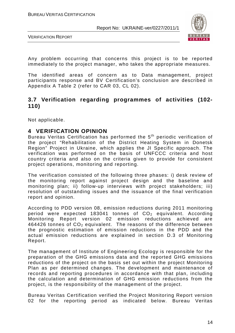



Any problem occurring that concerns this project is to be reported immediately to the project manager, who takes the appropriate measures.

The identified areas of concern as to Data management, project participants response and BV Certification's conclusion are described in Appendix A Table 2 (refer to CAR 03, CL 02).

#### **3.7 Verification regarding programmes of activities (102- 110)**

Not applicable.

#### **4 VERIFICATION OPINION**

Bureau Veritas Certification has performed the 5<sup>th</sup> periodic verification of the project "Rehabilitation of the District Heating System in Donetsk Region" Project in Ukraine, which applies the JI Specific approach. The verification was performed on the basis of UNFCCC criteria and host country criteria and also on the criteria given to provide for consistent project operations, monitoring and reporting.

The verification consisted of the following three phases: i) desk review of the monitoring report against project design and the baseline and monitoring plan; ii) follow-up interviews with project stakeholders; iii) resolution of outstanding issues and the issuance of the final verification report and opinion.

According to PDD version 08, emission reductions during 2011 monitoring period were expected 183041 tonnes of  $CO<sub>2</sub>$  equivalent. According Monitoring Report version 02 emission reductions achieved are 464426 tonnes of  $\mathsf{CO}_2$  equivalent. The reasons of the difference between the prognostic estimation of emission reductions in the PDD and the actual emission reductions are explained in section D.3 of Monitoring Report.

The management of Institute of Engineering Ecology is responsible for the preparation of the GHG emissions data and the reported GHG emissions reductions of the project on the basis set out within the project Monitoring Plan as per determined changes. The development and maintenance of records and reporting procedures in accordance with that plan, including the calculation and determination of GHG emission reductions from the project, is the responsibility of the management of the project.

Bureau Veritas Certification verified the Project Monitoring Report version 02 for the reporting period as indicated below. Bureau Veritas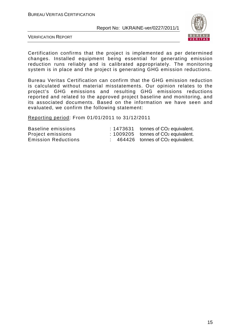

VERIFICATION REPORT

Certification confirms that the project is implemented as per determined changes. Installed equipment being essential for generating emission reduction runs reliably and is calibrated appropriately. The monitoring system is in place and the project is generating GHG emission reductions.

Bureau Veritas Certification can confirm that the GHG emission reduction is calculated without material misstatements. Our opinion relates to the project's GHG emissions and resulting GHG emissions reductions reported and related to the approved project baseline and monitoring, and its associated documents. Based on the information we have seen and evaluated, we confirm the following statement:

Reporting period: From 01/01/2011 to 31/12/2011

| Baseline emissions         |  | $\div$ 1473631 tonnes of CO <sub>2</sub> equivalent. |
|----------------------------|--|------------------------------------------------------|
| Project emissions          |  | $\div$ 1009205 tonnes of CO <sub>2</sub> equivalent. |
| <b>Emission Reductions</b> |  | $464426$ tonnes of CO <sub>2</sub> equivalent.       |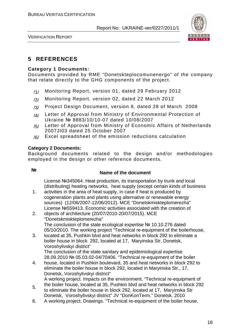

VERIFICATION REPORT

# **5 REFERENCES**

#### **Category 1 Documents:**

Documents provided by RME "Donetskteplocomunenergo" of the company that relate directly to the GHG components of the project.

- /1/ Monitoring Report, version 01, dated 29 February 2012
- /2/ Monitoring Report, version 02, dated 22 March 2012
- /3/ Project Design Document, version 8, dated 28 of March 2008
- /4/ Letter of Approval from Ministry of Environmental Protection of Ukraine № 8883/10/10-07 dated 10/08/2007
- /5/ Letter of Approval from Ministry of Economic Affairs of Netherlands 2007JI03 dated 25 October 2007
- $/6/$  Excel spreadsheet of the emission reductions calculation

#### **Category 2 Documents:**

Background documents related to the design and/or methodologies employed in the design or other reference documents.

# **№ Name of the document**

License №345064. Heat production, its transportation by trunk and local (distributing) heating networks, heat supply (except certain kinds of business

- 1. activities in the area of heat supply, in case if heat is produced by cogeneration plants and plants using alternative or renewable energy sources) (12/06/2007-12/06/2012). MCE "Donetskmiskteplomerezha" License №559413. Economic activities associated with the creation of
- 2. objects of architecture (20/07/2010-20/07/2015). MCE "Donetskmiskteplomerezha" The conclusion of the state ecological expertise № 10.10.276 dated 05/10/2010. The working project "Technical re-equipment of the boilerhouse,
- 3. located at 35, Pushkin blvd and heat networks in block 292 to eliminate a boiler house in block 292, located at 17, Maryinska Str, Donetsk, Voroshylivskyi district"

The conclusion of the state sanitary and epidemiological expertise 28.09.2010 № 05.03.02-04/70406. "Technical re-equipment of the boiler

- 4. house, located in Pushkin boulevard, 35 and heat networks in block 292 to eliminate the boiler house in block 292, located in Maryinska Str., 17, Donetsk, Voroshylivskyi district" A working project. Impacts on the environment. "Technical re-equipment of
- 5. the boiler house, located at 35, Pushkin blvd and heat networks in block 292 to eliminate the boiler house in block 292, located at 17, Maryinska Str Donetsk, Voroshylivskyi district" JV "DonKonTerm." Donetsk. 2010
- 6. A working project. Drawings. "Technical re-equipment of the boiler house,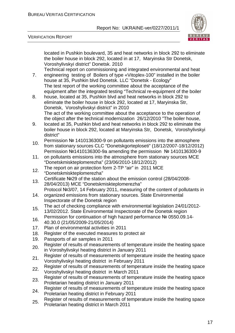



VERIFICATION REPORT

located in Pushkin boulevard, 35 and heat networks in block 292 to eliminate the boiler house in block 292, located in at 17, Maryinska Str Donetsk, Voroshylivskyi district" Donetsk. 2010

7. Technical report on commissioning and integrated environmental and heat engineering testing of Boilers of type «Vitoplex-100" installed in the boiler house at 35, Pushkin blvd Donetsk. LLC "Donetsk - Ecology" The test report of the working committee about the acceptance of the equipment after the integrated testing "Technical re-equipment of the boiler

- 8. house, located at 35, Pushkin blvd and heat networks in block 292 to eliminate the boiler house in block 292, located at 17, Maryinska Str, Donetsk, Voroshylivskyi district" in 2010 The act of the working committee about the acceptance to the operation of the object after the technical modernization 26/12/2010 "The boiler house,
- 9. located at 35, Pushkin blvd and heat networks in block 292 to eliminate the boiler house in block 292, located at Maryinska Str, Donetsk, Voroshylivskyi district"
- 10. Permission № 1410136300-9 on pollutants emissions into the atmosphere from stationary sources CLC "Donetskgorteploseti" (18/12/2007-18/12/2012) Permission №1410136300-9a amending the permission № 1410136300-9
- 11. on pollutants emissions into the atmosphere from stationary sources MCE "Donetskmiskteplomerezha" (23/06/2010-18/12/2012)
- 12. The report on air protection form 2-TP "air" in 2011 MCE "Donetskmiskteplomerezha"
- 13. Certificate №29 of the station about the emission control (28/04/2008-
- 28/04/2013) MCE "Donetskmiskteplomerezha" Protocol №3/07, 14 February 2011, measuring of the content of pollutants in
- 14. organized emissions from stationary sources. State Environmental Inspectorate of the Donetsk region
- The act of checking compliance with environmental legislation 24/01/2012-<br>15. (2002/02/2012-13/02/2012. State Environmental Inspectorate of the Donetsk region
- 16. Permission for continuation of high hazard performance № 0550.09.14-40.30.0 (21/05/2009-21/05/2014)
- 17. Plan of environmental activities in 2011
- 18. Register of the executed measures to protect air
- 19. Passports of air samples in 2011
- 20. Register of results of measurements of temperature inside the heating space in Voroshylivskyi heating district in January 2011
- 21. Register of results of measurements of temperature inside the heating space Voroshylivskyi heating district in February 2011
- 22. Register of results of measurements of temperature inside the heating space Voroshylivskyi heating district in March 2011
- 23. Register of results of measurements of temperature inside the heating space Proletarian heating district in January 2011
- 24. Register of results of measurements of temperature inside the heating space Proletarian heating district in February 2011
- 25. Register of results of measurements of temperature inside the heating space Proletarian heating district in March 2011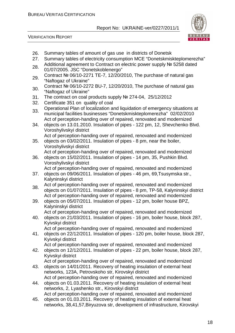VERIFICATION REPORT



- 26. Summary tables of amount of gas use in districts of Donetsk
- 27. Summary tables of electricity consumption MCE "Donetskmiskteplomerezha"
- 28. Additional agreement to Contract on electric power supply Nº 5258 dated 01/07/2005. JSC "Donetskoblenergo"
- 29. Contract № 06/10-2271 TE-7, 12/20/2010, The purchase of natural gas "Naftogaz of Ukraine"
- 30. Contract № 06/10-2272 BU-7, 12/20/2010, The purchase of natural gas "Naftogaz of Ukraine"
- 31. The contract on coal products supply № 274-04, 25/12/2012
- 32. Certificate 351 on quality of coal
- 33. Operational Plan of localization and liquidation of emergency situations at municipal facilities businesses "Donetskmiskteplomerezha" 02/02/2010 Act of perception-handing over of repaired, renovated and modernized
- 34. objects on 13.01.2010. Insulation of pipes - 122 pm, 12, Shevchenko Blvd. Voroshylivskyi district

Act of perception-handing over of repaired, renovated and modernized

- 35. objects on 03/02/2011. Insulation of pipes - 8 pm, near the boiler, Voroshylivskyi district Act of perception-handing over of repaired, renovated and modernized
- 36. objects on 15/02/2011. Insulation of pipes - 14 pm, 35, Pushkin Blvd. Voroshylivskyi district
- 37. Act of perception-handing over of repaired, renovated and modernized objects on 09/06/2011. Insulation of pipes - 46 pm, 69,Tsusymska str., Kalyninskyi district
- 38. Act of perception-handing over of repaired, renovated and modernized objects on 01/07/2011. Insulation of pipes - 8 pm, TP-58, Kalyninskyi district Act of perception-handing over of repaired, renovated and modernized
- 39. objects on 05/07/2011. Insulation of pipes - 12 pm, boiler house BPZ, Kalyninskyi district
	- Act of perception-handing over of repaired, renovated and modernized
- 40. objects on 21/03/2011. Insulation of pipes - 16 pm, boiler house, block 287, Kyivskyi district

Act of perception-handing over of repaired, renovated and modernized

- 41. objects on 22/12/2011. Insulation of pipes - 120 pm, boiler house, block 287, Kyivskyi district
	- Act of perception-handing over of repaired, renovated and modernized
- 42. objects on 12/12/2011. Insulation of pipes - 22 pm, boiler house, block 287, Kyivskyi district

Act of perception-handing over of repaired, renovated and modernized

- 43. objects on 14/01/2011. Recovery of heating insulation of external heat networks, 123A, Petrovskoho str, Kirovskyi district Act of perception-handing over of repaired, renovated and modernized
- 44. objects on 01.03.2011. Recovery of heating insulation of external heat networks, 2, Lyashenko str., Kirovskyi district Act of perception-handing over of repaired, renovated and modernized
- 45. objects on 01.03.2011. Recovery of heating insulation of external heat networks, 38,41,57,Biryuzova str, development of infrastructure, Kirovskyi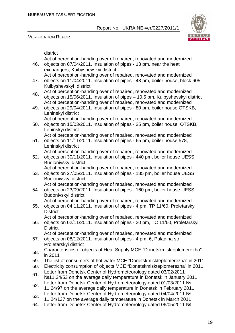Act of perception-handing over of repaired, renovated and modernized

VERIFICATION REPORT



district

46. objects on 07/04/2011. Insulation of pipes - 13 pm, near the heat exchangers, Kuibyshevskyi district 47. Act of perception-handing over of repaired, renovated and modernized objects on 11/04/2011. Insulation of pipes - 48 pm, boiler house, block 605, Kuibyshevskyi district 48. Act of perception-handing over of repaired, renovated and modernized objects on 15/06/2011. Insulation of pipes – 10,5 pm, Kuibyshevskyi district 49. Act of perception-handing over of repaired, renovated and modernized objects on 29/04/2011. Insulation of pipes - 80 pm, boiler house OTSKB, Leninskyi district 50. Act of perception-handing over of repaired, renovated and modernized objects on 15/03/2011. Insulation of pipes - 25 pm, boiler house OTSKB, Leninskyi district 51. Act of perception-handing over of repaired, renovated and modernized objects on 11/11/2011. Insulation of pipes - 65 pm, boiler house 578, Leninskyi district 52. Act of perception-handing over of repaired, renovated and modernized objects on 30/11/2011. Insulation of pipes - 440 pm, boiler house UESS, Budionivskyi district 53. Act of perception-handing over of repaired, renovated and modernized objects on 27/05/2011. Insulation of pipes - 185 pm, boiler house UESS, Budionivskyi district 54. Act of perception-handing over of repaired, renovated and modernized objects on 23/09/2011. Insulation of pipes - 160 pm, boiler house UESS, Budonivskyi district 55. Act of perception-handing over of repaired, renovated and modernized objects on 04.11.2011. Insulation of pipes - 4 pm, TP 11/60, Proletarskyi **District** 56. Act of perception-handing over of repaired, renovated and modernized objects on 02/11/2011. Insulation of pipes - 20 pm, TC 11/60, Proletarskyi **District** 57. Act of perception-handing over of repaired, renovated and modernized objects on 08/12/2011. Insulation of pipes - 4 pm, 6, Paladina str, Proletarskyi district 58. Characteristics of objects of Heat Supply MCE "Donetskmiskteplomerezha" in 2011 59. The list of consumers of hot water MCE "Donetskmiskteplomerezha" in 2011 60. Electricity consumption of objects MCE "Donetskmiskteplomerezha" in 2011 61. Letter from Donetsk Center of Hydrometeorology dated 03/02/2011 №11.24/53 on the average daily temperature in Donetsk in January 2011 62. Letter from Donetsk Center of Hydrometeorology dated 01/03/2011 № 11.24/97 on the average daily temperature in Donetsk in February 2011 63. Letter from Donetsk Center of Hydrometeorology dated 04/04/2011 № 11.24/137 on the average daily temperature in Donetsk in March 2011 64. Letter from Donetsk Center of Hydrometeorology dated 06/05/2011 №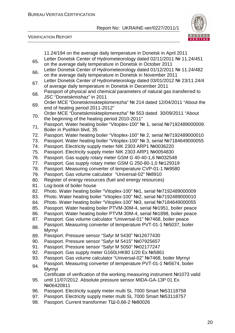

VERIFICATION REPORT

|     | 11.24/194 on the average daily temperature in Donetsk in April 2011         |
|-----|-----------------------------------------------------------------------------|
|     | Letter Donetsk Center of Hydrometeorology dated 02/11/2011 № 11.24/451      |
| 65. | on the average daily temperature in Donetsk in October 2011                 |
|     | Letter Donetsk Center of Hydrometeorology dated 01/12/2011 № 11.24/482      |
| 66. | on the average daily temperature in Donetsk in November 2011                |
|     | Letter Donetsk Center of Hydrometeorology dated 03/01/2012 № 23/11.24/4     |
| 67. | of average daily temperature in Donetsk in December 2011                    |
|     | Passport of physical and chemical parameters of natural gas transferred to  |
| 68. | JSC "Donetskmishaz" in 2011                                                 |
|     | Order MCE "Donetskmiskteplomerezha" № 214 dated 12/04/2011 "About the       |
| 69. | end of heating period 2011-2012"                                            |
|     | Order MCE "Donetskmiskteplomerezha" Nº 553 dated 30/09/2011 "About          |
| 70. | the beginning of the heating period 2010-2011"                              |
|     | Passport. Water heating boiler "Vitoplex-100" Nº 1, serial Nº7192489000009. |
| 71. | Boiler in Pushkin blvd, 35                                                  |
| 72. | Passport. Water heating boiler "Vitoplex-100" № 2, serial №7192489000010    |
| 73. | Passport. Water heating boiler "Vitoplex-100" № 3, serial №7184649000055    |
| 74. | Passport. Electricity supply meter NIK 2303 ARP1 Nº0036220                  |
| 75. | Passport. Electricity supply meter NIK 2303 ARP1 Nº0054830                  |
| 76. | Passport. Gas supply rotary meter GSM G 40-40-1,6 Nº032548                  |
| 77. | Passport. Gas supply rotary meter GSM G 250-80-1,0 №129319                  |
| 78. | Passport. Measuring converter of temperature CVP-01-1 №9580                 |
| 79. | Passport. Gas volume calculator "Universal-02" №8910                        |
| 80. | Register of energy resources (fuel and energy resources)                    |
| 81. | Log-book of boiler house                                                    |
| 82. | Photo. Water heating boiler "Vitoplex-100" №1, serial №7192489000009        |
| 83. | Photo. Water heating boiler "Vitoplex-100" №2, serial №7192489000010        |
| 84. | Photo. Water heating boiler "Vitoplex-100" №3, serial №7184649000055        |
| 85. | Passport. Water heating boiler PTVM-30M-4, serial №1951, boiler peace       |
| 86. | Passport. Water heating boiler PTVM-30M-4, serial №1898, boiler peace       |
| 87. | Passport. Gas volume calculator "Universal-01" Nº7468, boiler peace         |
|     | Passport. Measuring converter of temperature PVT-01-1 №5037, boiler         |
| 88  | Myrnyi                                                                      |
| 89. | Passport. Pressure sensor "Safyr M 5430" №12677430                          |
| 90. | Passport. Pressure sensor "Safyr M 5415" Nº07925657                         |
| 91. | Passport. Pressure sensor "Safyr M 5050" Nº02177247                         |
| 92. | Passport. Gas supply meter G160LHK80 1/20 Ex №5861                          |
| 93. | Passport. Gas volume calculator "Universal-02" №7468, boiler Myrnyi         |
|     | Passport. Measuring converter of temperature PVT-01-1 №5674, boiler         |
| 94. | Myrnyi                                                                      |
|     | Certificate of verification of the working measuring instrument №1073 valid |
| 95. | until 11/07/2012. Absolute pressure sensor MIDA-GA-13P 01 Ex                |
|     | Nº06420811                                                                  |
| 96. | Passport. Electricity supply meter multi SL 7000 Smart №53118758            |
| 97. | Passport. Electricity supply meter multi SL 7000 Smart Nº53118757           |
| 98. | Passport. Current transformer TШ-0,66-2 №80026                              |
|     |                                                                             |
|     |                                                                             |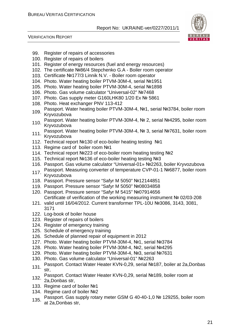

VERIFICATION REPORT

- 99. Register of repairs of accessories
- 100. Register of repairs of boilers
- 101. Register of energy resources (fuel and energy resources)
- 102. The certificate №86/4 Stepchenko G.A Boiler room operator
- 103. Certificate №177/3 Linnik N.V. Boiler room operator
- 104. Photo. Water heating boiler PTVM-30M-4, serial №1951
- 105. Photo. Water heating boiler PTVM-30M-4, serial №1898
- 106. Photo. Gas volume calculator "Universal-02" №7468
- 107. Photo. Gas supply meter G160LHK80 1/20 Ex № 5861
- 108. Photo. Heat exchanger PNV 113-412
- 109. Passport. Water heating boiler PTVM-30M-4, №1, serial №3784, boiler room Kryvozubova
- 110. Passport. Water heating boiler PTVM-30M-4, № 2, serial №4295, boiler room Kryvozubova
- 111. Passport. Water heating boiler PTVM-30M-4, № 3, serial №7631, boiler room Kryvozubova
- 112. Technical report №130 of eco-boiler heating testing №1
- 113. Regime card of boiler room №1
- 114. Technical report №223 of eco-boiler room heating testing №2
- 115. Technical report №136 of eco-boiler heating testing №3
- 116. Passport. Gas volume calculator "Universal-01» №2263, boiler Kryvozubova
- 117. Passport. Measuring converter of temperature CVP-01-1 №6877, boiler room Kryvozubova
- 118. Passport. Pressure sensor "Safyr M 5050" №12144851
- 119. Passport. Pressure sensor "Safyr M 5050" №08034858
- 120. Passport. Pressure sensor "Safyr M 5415" №07914656 Certificate of verification of the working measuring instrument № 02/03-208
- 121. valid until 16/04/2012. Current transformer TPL-10U №3086, 3143, 3081, 3171
- 122. Log-book of boiler house
- 123. Register of repairs of boilers
- 124. Register of emergency training
- 125. Schedule of emergency training
- 126. Schedule of planned repair of equipment in 2012
- 127. Photo. Water heating boiler PTVM-30M-4, №1, serial №3784
- 128. Photo. Water heating boiler PTVM-30M-4, №2, serial №4295
- 129. Photo. Water heating boiler PTVM-30M-4, №3, serial №7631
- 130. Photo. Gas volume calculator "Universal-01" №2263
- 131. Passport. Contact Water Heater KVN-0,29, serial №187, boiler at 2a,Donbas str,
- 132. Passport. Contact Water Heater KVN-0,29, serial №189, boiler room at 2a,Donbas str,
- 133. Regime card of boiler №1
- 134. Regime card of boiler №2
- 135. Passport. Gas supply rotary meter GSM G 40-40-1,0 № 129255, boiler room at 2a,Donbas str,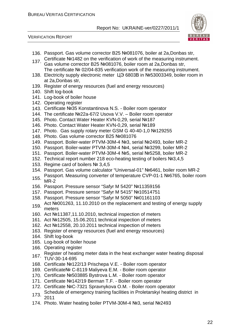



- 136. Passport. Gas volume corrector B25 №081076, boiler at 2a,Donbas str,
- 137 Certificate №1482 on the verification of work of the measuring instrument.
- Gas volume corrector B25 №081076, boiler room at 2a,Donbas str, The certificate № 02/04-835 verification work of the measuring instrument.
- 138. Electricity supply electronic meter ЦЭ 6803В in №53003349, boiler room in at 2a,Donbas str,
- 139. Register of energy resources (fuel and energy resources)
- 140. Shift log-book
- 141. Log-book of boiler house
- 142. Operating register
- 143. Certificate №35 Konstantinova N.S. Boiler room operator
- 144. The certificate №22a-67/2 Usova V.V. Boiler room operator
- 145. Photo. Contact Water Heater KVN-0,29, serial №187
- 146. Photo. Contact Water Heater KVN-0,29, serial №189
- 147. Photo. Gas supply rotary meter GSM G 40-40-1,0 №129255
- 148. Photo. Gas volume corrector B25 №081076
- 149. Passport. Boiler-water PTVM-30M-4 №3, serial №2493, boiler MR-2
- 150. Passport. Boiler-water PTVM-30M-4 №4, serial №3299, boiler MR-2
- 151. Passport. Boiler-water PTVM-30M-4 №5, serial №5258, boiler MR-2
- 152. Technical report number 218 eco-heating testing of boilers №3,4,5
- 153. Regime card of boilers № 3,4,5
- 154. Passport. Gas volume calculator "Universal-01" №6461, boiler room MR-2
- 155. Passport. Measuring converter of temperature CVP-01-1 №6765, boiler room MR-2
- 156. Passport. Pressure sensor "Safyr M 5420" №11359156
- 157. Passport. Pressure sensor "Safyr M 5415" №10514751
- 158. Passport. Pressure sensor "Safyr M 5050" №01161103
- 159. Act №001263, 11.10.2010 on the replacement and testing of energy supply meters
- 160. Act №11387,11.10.2010, technical inspection of meters
- 161. Act №12505, 15.06.2011 technical inspection of meters
- 162. Act №12558, 20.10.2011 technical inspection of meters
- 163. Register of energy resources (fuel and energy resources)
- 164. Shift log-book
- 165. Log-book of boiler house
- 166. Operating register
- 167. Register of heating meter data in the heat exchanger water heating disposal TUV-30-14-695
- 168. Certificate №122/13 Prischepa V.E. Boiler room operator
- 169. Certificate№ C-8119 Maliyeva E.M. Boiler room operator
- 170. Certificate №503885 Bystrova L.M. Boiler room operator
- 171. Certificate №142/19 Berman T.F. Boiler room operator
- 172. Certificate №C-7321 Spravnykova O.M. Boiler room operator
- 173. Schedule of emergency training facilities in Proletarskyi heating district in 2011
- 174. Photo. Water heating boiler PTVM-30M-4 №3, serial №2493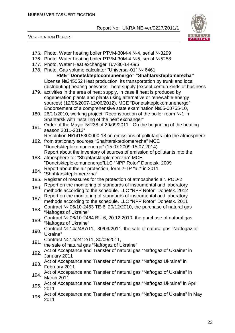

#### VERIFICATION REPORT

- 175. Photo. Water heating boiler PTVM-30M-4 №4, serial №3299
- 176. Photo. Water heating boiler PTVM-30M-4 №5, serial №5258
- 177. Photo. Water Heat exchanger Tuv-30-14-695
- 178. Photo. Gas volume calculator "Universal-01" № 6461 **RME "Donetskteplocomunenergo" "Shahtarskteplomerezha"** License №345052 Heat production, its transportation by trunk and local (distributing) heating networks, heat supply (except certain kinds of business
- 179. activities in the area of heat supply, in case if heat is produced by cogeneration plants and plants using alternative or renewable energy sources) (12/06/2007-12/06/2012). MCE "Donetskteplokomunenergo" Endorsement of a comprehensive state examination №05-00755-10,
- 180. 26/11/2010, working project "Reconstruction of the boiler room №1 in Shahtarsk with installing of the heat exchanger"
- 181. Order of the Mayor №238 of 29/09/2011 " On the beginning of the heating season 2011-2012"
	- Resolution №1415300000-18 on emissions of pollutants into the atmosphere
- 182. from stationary sources "Shahtarskteplomerezha" MCE "Donetskteplokomunenergo" (15.07.2009-15.07.2014) Report about the inventory of sources of emission of pollutants into the
- 183. atmosphere for "Shahtarskteplomerezha" MCE "Donetskteplokomunenergo"LLC "NPP Rotor" Donetsk. 2009
- 184. Report about the air protection, form 2-TP "air" in 2011.
- "Shahtarskteplomerezha"
- 185. Register of measures for the protection of atmospheric air. POD-2
- 186. Report on the monitoring of standards of instrumental and laboratory methods according to the schedule. LLC "NPP Rotor" Donetsk. 2012
- 187. Report on the monitoring of standards of instrumental and laboratory methods according to the schedule. LLC "NPP Rotor" Donetsk. 2011
- 188. Contract № 06/10-2463 TE-6, 20/12/2010, the purchase of natural gas "Naftogaz of Ukraine"
- 189. Contract № 06/10-2464 BU-6, 20.12.2010, the purchase of natural gas "Naftogaz of Ukraine"
- 190. Contract № 14/2487/11, 30/09/2011, the sale of natural gas "Naftogaz of Ukraine"
- 191. Contract № 14/2412/11, 30/09/2011,
- the sale of natural gas "Naftogaz of Ukraine"
- 192. Act of Acceptance and Transfer of natural gas "Naftogaz of Ukraine" in January 2011
- 193. Act of Acceptance and Transfer of natural gas "Naftogaz Ukraine" in February 2011
- 194. Act of Acceptance and Transfer of natural gas "Naftogaz of Ukraine" in March 2011
- 195. Act of Acceptance and Transfer of natural gas "Naftogaz Ukraine" in April 2011
- 196. Act of Acceptance and Transfer of natural gas "Naftogaz of Ukraine" in May 2011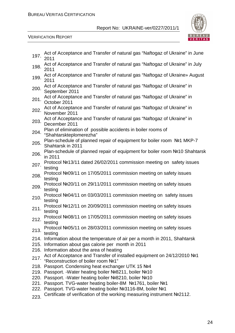

#### VERIFICATION REPORT

| 197. | Act of Acceptance and Transfer of natural gas "Naftogaz of Ukraine" in June<br>2011                                                      |
|------|------------------------------------------------------------------------------------------------------------------------------------------|
| 198. | Act of Acceptance and Transfer of natural gas "Naftogaz of Ukraine" in July<br>2011                                                      |
| 199. | Act of Acceptance and Transfer of natural gas "Naftogaz of Ukraine» August<br>2011                                                       |
| 200. | Act of Acceptance and Transfer of natural gas "Naftogaz of Ukraine" in<br>September 2011                                                 |
| 201. | Act of Acceptance and Transfer of natural gas "Naftogaz of Ukraine" in<br>October 2011                                                   |
| 202. | Act of Acceptance and Transfer of natural gas "Naftogaz of Ukraine" in<br>November 2011                                                  |
| 203. | Act of Acceptance and Transfer of natural gas "Naftogaz of Ukraine" in<br>December 2011                                                  |
|      | Plan of elimination of possible accidents in boiler rooms of<br>204. "Shahtarskteplomerezha"                                             |
| 205. | Plan-schedule of planned repair of equipment for boiler room Nº1 MKP-7<br>Shahtarsk in 2011                                              |
| 206. | Plan-schedule of planned repair of equipment for boiler room Nº10 Shahtarsk<br>in 2011                                                   |
| 207. | Protocol Nº13/11 dated 26/02/2011 commission meeting on safety issues<br>testing                                                         |
| 208. | Protocol №09/11 on 17/05/2011 commission meeting on safety issues<br>testing                                                             |
| 209. | Protocol Nº20/11 on 29/11/2011 commission meeting on safety issues<br>testing                                                            |
| 210. | Protocol Nº04/11 on 03/03/2011 commission meeting on safety issues<br>testing                                                            |
| 211. | Protocol №12/11 on 20/09/2011 commission meeting on safety issues<br>testing                                                             |
| 212. | Protocol №08/11 on 17/05/2011 commission meeting on safety issues<br>testing                                                             |
| 213. | Protocol №05/11 on 28/03/2011 commission meeting on safety issues<br>testing                                                             |
|      | 214. Information about the temperature of air per a month in 2011, Shahtarsk                                                             |
|      | 215. Information about gas calorie per month in 2011<br>216. Information about the area of heating                                       |
|      | Act of Acceptance and Transfer of installed equipment on 24/12/2010 №1<br>217. "Reconstruction of boiler room №1"                        |
|      | 218. Passport. Condensing heat exchanger UTK 15 №4                                                                                       |
|      | 219. Passport. - Water heating boiler Nº8211, boiler Nº10                                                                                |
|      | 220. Passport. - Water heating boiler Nº8210, boiler Nº10                                                                                |
|      | 221. Passport. TVG-water heating boiler-8M Nº1761, boiler Nº1                                                                            |
|      | 222. Passport. TVG-water heating boiler Nº3116-8M, boiler Nº1<br>Certificate of verification of the working measuring instrument Nº2112. |
| 223. |                                                                                                                                          |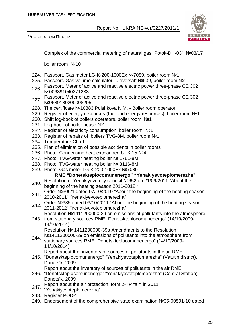VERIFICATION REPORT



Complex of the commercial metering of natural gas "Potok-DH-03" №03/17

boiler room №10

- 224. Passport. Gas meter LG-K-200-1000Ex №7089, boiler room №1
- 225. Passport. Gas volume calculator "Universal" №639, boiler room №1
- 226. Passport. Meter of active and reactive electric power three-phase CE 302 №006891040371233
- 227. Passport. Meter of active and reactive electric power three-phase CE 302 №0689180200008295
- 228. The certificate №10883 Polshkova N.M. Boiler room operator
- 229. Register of energy resources (fuel and energy resources), boiler room №1
- 230. Shift log-book of boilers operators, boiler room №1
- 231. Log-book of boiler house №1
- 232. Register of electricity consumption, boiler room №1
- 233. Register of repairs of boilers TVG-8M, boiler room №1
- 234. Temperature Chart
- 235. Plan of elimination of possible accidents in boiler rooms
- 236. Photo. Condensing heat exchanger UTK 15 №4
- 237. Photo. TVG-water heating boiler № 1761-8M
- 238. Photo. TVG-water heating boiler № 3116-8M
- 239. Photo. Gas meter LG-K-200-1000Eх №7089

#### **RME "Donetskteplocomunenergo" "Yenakiyevoteplomerezha"**

- 240. Resolution of Yenakiyevo city council Nº652 on 21/09/2011 "About the beginning of the heating season 2011-2012 "
- 241. Order №300/1 dated 07/10/2010 "About the beginning of the heating season 2010-2011" "Yenakiyevoteplomerezha"
- 242. Order №335 dated 03/10/2011 "About the beginning of the heating season 2011-2012" "Yenakiyevoteplomerezha"
- Resolution №1411200000-39 on emissions of pollutants into the atmosphere
- 243. from stationary sources RME "Donetskteplocomunenergo" (14/10/2009- 14/10/2014)

Resolution № 1411200000-39a Amendments to the Resolution

244. №1411200000-39 on emissions of pollutants into the atmosphere from stationary sources RME "Donetskteplocomunenergo" (14/10/2009- 14/10/2014)

Report about the inventory of sources of pollutants in the air RME

245. "Donetskteplocomunenergo" "Yenakiyevoteplomerezha" (Vatutin district), Donets'k, 2009

Report about the inventory of sources of pollutants in the air RME

- 246. "Donetskteplocomunenergo" "Yenakiyevoteplomerezha" (Central Station). Donets'k. 2009
- Report about the air protection, form 2-TP "air" in 2011.
- 247. Nepon assammanden i
- 248. Register POD-1
- 249. Endorsement of the comprehensive state examination №05-00591-10 dated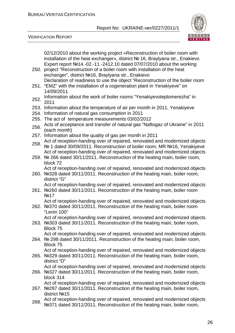

VERIFICATION REPORT

02/12/2010 about the working project «Reconstruction of boiler room with installation of the heat exchanger», district № 16, Braylyana str., Enakievo Expert report №14.-02.-11.-2412.10 dated 07/07/2010 about the working

- 250. project "Reconstruction of a boiler room with installation of the heat exchanger", district №16, Braylyana str., Enakievo Declaration of readiness to use the object "Reconstruction of the boiler room
- 251. "EMZ" with the installation of a cogeneration plant in Yenakiyeve" on 14/09/2011
- 252. Information about the work of boiler rooms "Yenakiyevoteplomerezha" in 2011
- 253. Information about the temperature of air per month in 2011, Yenakiyeve
- 254. Information of natural gas consumption in 2011
- 255. The act of temperature measurements 03/02/2012
- 256. Acts of acceptance and transfer of natural gas "Naftogaz of Ukraine" in 2011 (each month)
- 257. Information about the quality of gas per month in 2011
- 258. Act of reception-handing over of repaired, renovated and modernized objects № 1 dated 30/09/2011. Reconstruction of boiler room, MR №16, Yenakiyeve Act of reception-handing over of repaired, renovated and modernized objects
- 259. № 266 dated 30/11/2011. Reconstruction of the heating main, boiler room, block 72

Act of reception-handing over of repaired, renovated and modernized objects

260. №328 dated 30/11/2011. Reconstruction of the heating main, boiler room, district "G"

Act of reception-handing over of repaired, renovated and modernized objects

261. №260 dated 30/11/2011. Reconstruction of the heating main, boiler room №17

Act of reception-handing over of repaired, renovated and modernized objects

262. №370 dated 30/11/2011. Reconstruction of the heating main, boiler room "Lenin 100"

Act of reception-handing over of repaired, renovated and modernized objects

263. №303 dated 30/11/2011. Reconstruction of the heating main, boiler room, Block 75

Act of reception-handing over of repaired, renovated and modernized objects

264. № 298 dated 30/11/2011. Reconstruction of the heating main, boiler room, Block 75

265. №329 dated 30/11/2011. Reconstruction of the heating main, boiler room, Act of reception-handing over of repaired, renovated and modernized objects

- district "D" Act of reception-handing over of repaired, renovated and modernized objects
- 266. №327 dated 30/11/2011. Reconstruction of the heating main, boiler room, block 314

Act of reception-handing over of repaired, renovated and modernized objects

- 267. №297 dated 30/11/2011. Reconstruction of the heating main, boiler room, district №15
- 268. Act of reception-handing over of repaired, renovated and modernized objects №371 dated 30/11/2011. Reconstruction of the heating main, boiler room,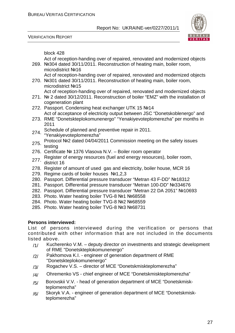VERIFICATION REPORT



block 428

269. №304 dated 30/11/2011. Reconstruction of heating main, boiler room, Act of reception-handing over of repaired, renovated and modernized objects

- microdistrict №16 Act of reception-handing over of repaired, renovated and modernized objects
- 270. №301 dated 30/11/2011. Reconstruction of heating main, boiler room, microdistrict №15
	- Act of reception-handing over of repaired, renovated and modernized objects
- 271. № 2 dated 30/12/2011. Reconstruction of boiler "EMZ" with the installation of cogeneration plant
- 272. Passport. Condensing heat exchanger UTK 15 №14 Act of acceptance of electricity output between JSC "Donetskoblenergo" and
- 273. RME "Donetskteplokomunenergo" "Yenakiyevoteplomerezha" per months in 2011
	- Schedule of planned and preventive repair in 2011.
- 274. Surreumo or press.<br>"Yenakiyevoteplomerezha"
- 275. Protocol №2 dated 04/04/2011 Commission meeting on the safety issues testing
- 276. Certificate № 1376 Vlasova N.V. Boiler room operator
- 277. Register of energy resources (fuel and energy resources), boiler room, district 16
- 278. Register of amount of used gas and electricity, boiler house, MCR 16
- 279. Regime cards of boiler houses №1,2,3
- 280. Passport. Differential pressure transducer "Metran 43 F-DD" №18312
- 281. Passport. Differential pressure transducer "Metran 100-DD" №334676
- 282. Passport. Differential pressure transducer "Metran 22 DA 2051" №10693
- 283. Photo. Water heating boiler TVG-8 №1 №68558
- 284. Photo. Water heating boiler TVG-8 №2 №68559
- 285. Photo. Water heating boiler TVG-8 №3 №68731

#### **Persons interviewed:**

List of persons interviewed during the verification or persons that contributed with other information that are not included in the documents listed above.

- $/1/$  Kucherenko V.M. deputy director on investments and strategic development of RME "Donetskteplokomunenergo"
- /2/ Pakhomova K.I. engineer of generation department of RME "Donetskteplokomunenergo"
- /3/ Rogachev V.S. director of MCE "Donetskmiskteplomerezha"
- /4/ Ohremenko VS chief engineer of MCE "Donetskmiskteplomerezha"
- /5/ Borovskii V.V. head of generation department of MCE "Donetskmiskteplomerezha"
- /6/ Skoryk V.A. engineer of generation department of MCE "Donetskmiskteplomerezha"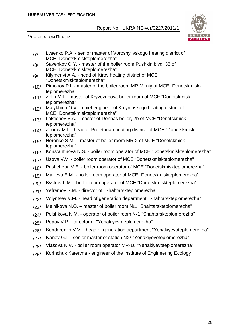

VERIFICATION REPORT

| 7    | Lysenko P.A. - senior master of Voroshylivskogo heating district of                                |
|------|----------------------------------------------------------------------------------------------------|
|      | MCE "Donetskmiskteplomerezha"<br>Savenkov O.Y. - master of the boiler room Pushkin blvd, 35 of     |
| /8/  | MCE "Donetskmiskteplomerezha"                                                                      |
| /9/  | Kilymenyi A.A. - head of Kirov heating district of MCE                                             |
|      | "Donetskmiskteplomerezha"                                                                          |
| /10/ | Pimonov P.I. - master of the boiler room MR Mirniy of MCE "Donetskmisk-<br>teplomerezha"           |
| /11/ | Zolin M.I. - master of Kryvozubova boiler room of MCE "Donetskmisk-                                |
|      | teplomerezha"                                                                                      |
| /12/ | Malykhina O.V. - chief engineer of Kalyninskogo heating district of                                |
|      | MCE "Donetskmiskteplomerezha"<br>Laktionov V.A. - master of Donbas boiler, 2b of MCE "Donetskmisk- |
| /13/ | teplomerezha"                                                                                      |
| /14/ | Zhorov M.I. - head of Proletarian heating district of MCE "Donetskmisk-                            |
|      | teplomerezha"                                                                                      |
| /15/ | Horonko S.M. - master of boiler room MR-2 of MCE "Donetskmisk-                                     |
|      | teplomerezha"<br>Konstantinova N.S. - boiler room operator of MCE "Donetskmiskteplomerezha"        |
| /16/ |                                                                                                    |
| /17/ | Usova V.V. - boiler room operator of MCE "Donetskmiskteplomerezha"                                 |
| /18/ | Prishchepa V.E. - boiler room operator of MCE "Donetskmiskteplomerezha"                            |
| /19/ | Maliieva E.M. - boiler room operator of MCE "Donetskmiskteplomerezha"                              |
| /20/ | Bystrov L.M. - boiler room operator of MCE "Donetskmiskteplomerezha"                               |
| /21/ | Yefremov S.M. - director of "Shahtarskteplomerezha"                                                |
| /22/ | Volyntsev V.M. - head of generation department "Shahtarskteplomerezha"                             |
| /23/ | Melnikova N.O. - master of boiler room Nº1 "Shahtarskteplomerezha"                                 |
| /24/ | Polshkova N.M. - operator of boiler room Nº1 "Shahtarskteplomerezha"                               |
| /25/ | Popov V.P. - director of "Yenakiyevoteplomerezha"                                                  |
| /26/ | Bondarenko V.V. - head of generation department "Yenakiyevoteplomerezha"                           |
| /27/ | Ivanov G.I. - senior master of station Nº2 "Yenakiyevoteplomerezha"                                |
| /28/ | Vlasova N.V. - boiler room operator MR-16 "Yenakiyevoteplomerezha"                                 |
| /29/ | Korinchuk Kateryna - engineer of the Institute of Engineering Ecology                              |
|      |                                                                                                    |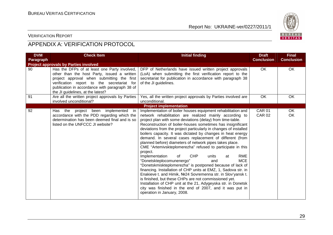

#### VERIFICATION REPORT

# APPENDIX A: VERIFICATION PROTOCOL

| <b>DVM</b> | <b>Check Item</b>                                                                                                                                                                                                                                                              | <b>Initial finding</b>                                                                                                                                                                                                                                                                                                                                                                                                                                                                                                                                                                                                                                                                                                                                                                                                                                                                                                                                                                                                                                                                                                          | <b>Draft</b>                   | <b>Final</b>      |
|------------|--------------------------------------------------------------------------------------------------------------------------------------------------------------------------------------------------------------------------------------------------------------------------------|---------------------------------------------------------------------------------------------------------------------------------------------------------------------------------------------------------------------------------------------------------------------------------------------------------------------------------------------------------------------------------------------------------------------------------------------------------------------------------------------------------------------------------------------------------------------------------------------------------------------------------------------------------------------------------------------------------------------------------------------------------------------------------------------------------------------------------------------------------------------------------------------------------------------------------------------------------------------------------------------------------------------------------------------------------------------------------------------------------------------------------|--------------------------------|-------------------|
| Paragraph  |                                                                                                                                                                                                                                                                                |                                                                                                                                                                                                                                                                                                                                                                                                                                                                                                                                                                                                                                                                                                                                                                                                                                                                                                                                                                                                                                                                                                                                 | <b>Conclusion</b>              | <b>Conclusion</b> |
|            | <b>Project approvals by Parties involved</b>                                                                                                                                                                                                                                   |                                                                                                                                                                                                                                                                                                                                                                                                                                                                                                                                                                                                                                                                                                                                                                                                                                                                                                                                                                                                                                                                                                                                 |                                |                   |
| 90         | Has the DFPs of at least one Party involved,<br>other than the host Party, issued a written<br>project approval when submitting the first<br>verification report to the secretariat for<br>publication in accordance with paragraph 38 of<br>the JI guidelines, at the latest? | DFP of Netherlands have issued written project approvals<br>(LoA) when submitting the first verification report to the<br>secretariat for publication in accordance with paragraph 38<br>of the JI guidelines.                                                                                                                                                                                                                                                                                                                                                                                                                                                                                                                                                                                                                                                                                                                                                                                                                                                                                                                  | OK                             | OK                |
| 91         | Are all the written project approvals by Parties<br>involved unconditional?                                                                                                                                                                                                    | Yes, all the written project approvals by Parties involved are<br>unconditional.                                                                                                                                                                                                                                                                                                                                                                                                                                                                                                                                                                                                                                                                                                                                                                                                                                                                                                                                                                                                                                                | OK.                            | OK.               |
|            |                                                                                                                                                                                                                                                                                | <b>Project implementation</b>                                                                                                                                                                                                                                                                                                                                                                                                                                                                                                                                                                                                                                                                                                                                                                                                                                                                                                                                                                                                                                                                                                   |                                |                   |
| 92         | project been implemented in<br>Has the<br>accordance with the PDD regarding which the<br>determination has been deemed final and is so<br>listed on the UNFCCC JI website?                                                                                                     | Implementation of boiler houses equipment rehabilitation and<br>network rehabilitation are realized mainly according to<br>project plan with some deviations (delay) from time-table.<br>Reconstruction of boiler-houses sometimes has insignificant<br>deviations from the project particularly in changes of installed<br>boilers capacity. It was dictated by changes in heat energy<br>demand. In several cases replacement of different (from<br>planned before) diameters of network pipes takes place.<br>CME "Artemivskteplomerezha" refused to participate in this<br>project.<br><b>RME</b><br>Implementation<br><b>CHP</b><br>units<br>0f<br>at<br><b>MCE</b><br>"Donetskteplocomunenergo"<br>and<br>"Donetskmiskteplomerezha" is postponed because of lack of<br>financing. Installation of CHP units at EMZ, 1, Sadova str. in<br>Enakieve t. and Himik, Nº24 Sovremenna str. in Slov'yansk t.<br>is finished, but these CHPs are not commissioned yet.<br>Installation of CHP unit at the 21, Adygeyska str. in Donetsk<br>city was finished in the end of 2007, and it was put in<br>operation in January, 2008. | <b>CAR 01</b><br><b>CAR 02</b> | OK<br>OK          |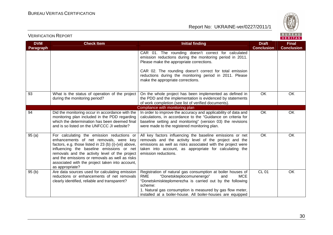

| <b>DVM</b> | <b>Check Item</b>                                                                                                                                                                                                                                                                                                                                                    | <b>Initial finding</b>                                                                                                                                                                                                                                                                                                  | <b>Draft</b>      | <b>Final</b>      |
|------------|----------------------------------------------------------------------------------------------------------------------------------------------------------------------------------------------------------------------------------------------------------------------------------------------------------------------------------------------------------------------|-------------------------------------------------------------------------------------------------------------------------------------------------------------------------------------------------------------------------------------------------------------------------------------------------------------------------|-------------------|-------------------|
| Paragraph  |                                                                                                                                                                                                                                                                                                                                                                      |                                                                                                                                                                                                                                                                                                                         | <b>Conclusion</b> | <b>Conclusion</b> |
|            |                                                                                                                                                                                                                                                                                                                                                                      | CAR 01. The rounding doesn't correct for calculated<br>emission reductions during the monitoring period in 2011.<br>Please make the appropriate corrections.<br>CAR 02. The rounding doesn't correct for total emission<br>reductions during the monitoring period in 2011. Please<br>make the appropriate corrections. |                   |                   |
| 93         | What is the status of operation of the project<br>during the monitoring period?                                                                                                                                                                                                                                                                                      | On the whole project has been implemented as defined in<br>the PDD and the implementation is evidenced by statements<br>of work completion (see list of verified documents).                                                                                                                                            | OK                | OK                |
|            |                                                                                                                                                                                                                                                                                                                                                                      | Compliance with monitoring plan                                                                                                                                                                                                                                                                                         |                   |                   |
| 94         | Did the monitoring occur in accordance with the<br>monitoring plan included in the PDD regarding<br>which the determination has been deemed final<br>and is so listed on the UNFCCC JI website?                                                                                                                                                                      | In order to improve the accuracy and applicability of data and<br>calculations, in accordance to the "Guidance on criteria for<br>baseline setting and monitoring" (version 03) the revisions<br>were made to the registered monitoring plan.                                                                           | OK                | OK                |
| 95(a)      | For calculating the emission reductions or<br>enhancements of net removals, were key<br>factors, e.g. those listed in 23 (b) (i)-(vii) above,<br>influencing the baseline emissions or net<br>removals and the activity level of the project<br>and the emissions or removals as well as risks<br>associated with the project taken into account,<br>as appropriate? | All key factors influencing the baseline emissions or net<br>removals and the activity level of the project and the<br>emissions as well as risks associated with the project were<br>taken into account, as appropriate for calculating the<br>emission reductions.                                                    | OK                | OK                |
| 95(b)      | Are data sources used for calculating emission<br>reductions or enhancements of net removals<br>clearly identified, reliable and transparent?                                                                                                                                                                                                                        | Registration of natural gas consumption at boiler houses of<br>RME<br>"Donetskteplocomunenergo"<br><b>MCE</b><br>and<br>"Donetskmiskteplomerezha is carried out by the following<br>scheme:<br>1. Natural gas consumption is measured by gas flow meter,<br>installed at a boiler-house. All boiler-houses are equipped | <b>CL 01</b>      | OK                |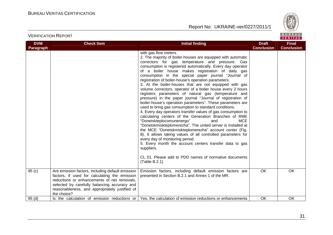

### VERIFICATION REPORT

| <b>DVM</b> | <b>Check Item</b>                                                                                                                                                                                                                                                 | <b>Initial finding</b>                                                                                                                                                                                                                                                                                                                                                                                                                                                                                                                                                                                                                                                                                                                                                                                                                                                                                                                                                                                                                                                                                                                                                                                                                                                                                         | <b>Draft</b>      | <b>Final</b>      |
|------------|-------------------------------------------------------------------------------------------------------------------------------------------------------------------------------------------------------------------------------------------------------------------|----------------------------------------------------------------------------------------------------------------------------------------------------------------------------------------------------------------------------------------------------------------------------------------------------------------------------------------------------------------------------------------------------------------------------------------------------------------------------------------------------------------------------------------------------------------------------------------------------------------------------------------------------------------------------------------------------------------------------------------------------------------------------------------------------------------------------------------------------------------------------------------------------------------------------------------------------------------------------------------------------------------------------------------------------------------------------------------------------------------------------------------------------------------------------------------------------------------------------------------------------------------------------------------------------------------|-------------------|-------------------|
| Paragraph  |                                                                                                                                                                                                                                                                   |                                                                                                                                                                                                                                                                                                                                                                                                                                                                                                                                                                                                                                                                                                                                                                                                                                                                                                                                                                                                                                                                                                                                                                                                                                                                                                                | <b>Conclusion</b> | <b>Conclusion</b> |
|            |                                                                                                                                                                                                                                                                   | with gas flow meters.<br>2. The majority of boiler-houses are equipped with automatic<br>correctors for gas temperature and pressure. Gas<br>consumption is registered automatically. Every day operator<br>of a boiler house makes registration of daily gas<br>consumption in the special paper journal "Journal of<br>registration of boiler-house's operation parameters.<br>3. At the boiler-houses that are not equipped with gas<br>volume correctors, operator of a boiler house every 2 hours<br>registers parameters of natural gas (temperature and<br>pressure) in the paper journal "Journal of registration of<br>boiler-house's operation parameters". These parameters are<br>used to bring gas consumption to standard conditions.<br>4. Every day operators transfer values of gas consumption to<br>calculating centers of the Generation Branches of RME<br>"Donetskteplocomunenergo"<br><b>MCE</b><br>and<br>"Donetskmiskteplomerezha". The united server is installed at<br>the MCE "Donetskmiskteplomerezha" account center (Fig.<br>8). It allows taking values of all controlled parameters for<br>every day of monitoring period.<br>5. Every month the account centers transfer data to gas<br>suppliers.<br>CL 01. Please add to PDD names of normative documents<br>(Table B.2.1) |                   |                   |
| 95(c)      | Are emission factors, including default emission<br>factors, if used for calculating the emission<br>reductions or enhancements of net removals,<br>selected by carefully balancing accuracy and<br>reasonableness, and appropriately justified of<br>the choice? | Emission factors, including default emission factors are<br>presented in Section B.2.1 and Annex 1 of the MR.                                                                                                                                                                                                                                                                                                                                                                                                                                                                                                                                                                                                                                                                                                                                                                                                                                                                                                                                                                                                                                                                                                                                                                                                  | <b>OK</b>         | <b>OK</b>         |
| 95(d)      |                                                                                                                                                                                                                                                                   | Is the calculation of emission reductions or $\vert$ Yes, the calculation of emission reductions or enhancements                                                                                                                                                                                                                                                                                                                                                                                                                                                                                                                                                                                                                                                                                                                                                                                                                                                                                                                                                                                                                                                                                                                                                                                               | OK                | <b>OK</b>         |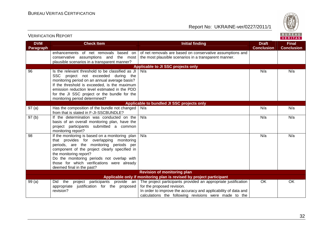VERIFICATION REPORT

Report No: UKRAINE-ver/0227/2011/1



**VERITAS DVM Check Item Draft Check Item Initial finding Check Item Draft Final Paragraph Conclusion Conclusion** of net removals are based on conservative assumptions and enhancements of net removals based on conservative assumptions and the most the most plausible scenarios in a transparent manner. plausible scenarios in a transparent manner? **Applicable to JI SSC projects only** 96 Is the relevant threshold to be classified as JIN/a N/a N/a SSC project not exceeded during the monitoring period on an annual average basis? If the threshold is exceeded, is the maximum emission reduction level estimated in the PDD for the JI SSC project or the bundle for the monitoring period determined? **Applicable to bundled JI SSC projects only** 97 (a)  $\blacksquare$  Has the composition of the bundle not changed  $\blacksquare$  N/a N/a N/a N/a from that is stated in F-JI-SSCBUNDLE? 97 (b)  $\vert$  If the determination was conducted on the N/a N/a N/a basis of an overall monitoring plan, have the project participants submitted a common monitoring report? 98 | If the monitoring is based on a monitoring plan N/a N/a N/a that provides for overlapping monitoring periods, are the monitoring periods per component of the project clearly specified in the monitoring report? Do the monitoring periods not overlap with those for which verifications were already deemed final in the past? **Revision of monitoring plan Applicable only if monitoring plan is revised by project participant** 99 (a) Did the project participants provide an The project participants provided an appropriate justification OK OK appropriate justification for the proposed for the proposed revision. revision? In order to improve the accuracy and applicability of data and calculations the following revisions were made to the

32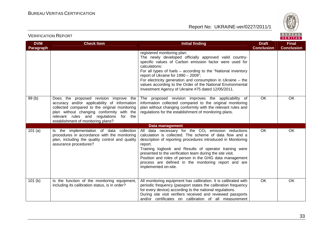

### VERIFICATION REPORT

| <b>DVM</b> | <b>Check Item</b>                                                                                                                                                                                                                                                       | <b>Initial finding</b>                                                                                                                                                                                                                                                                                                                                                                                                                                          | <b>Draft</b>      | <b>Final</b>      |
|------------|-------------------------------------------------------------------------------------------------------------------------------------------------------------------------------------------------------------------------------------------------------------------------|-----------------------------------------------------------------------------------------------------------------------------------------------------------------------------------------------------------------------------------------------------------------------------------------------------------------------------------------------------------------------------------------------------------------------------------------------------------------|-------------------|-------------------|
| Paragraph  |                                                                                                                                                                                                                                                                         |                                                                                                                                                                                                                                                                                                                                                                                                                                                                 | <b>Conclusion</b> | <b>Conclusion</b> |
|            |                                                                                                                                                                                                                                                                         | registered monitoring plan:<br>The newly developed officially approved valid country-<br>specific values of Carbon emission factor were used for<br>calculations:<br>For all types of fuels - according to the "National inventory<br>report of Ukraine for 1990 - 2009";<br>For electricity generation and consumption in Ukraine $-$ the<br>values according to the Order of the National Environmental<br>Investment Agency of Ukraine #75 dated 12/05/2011. |                   |                   |
| 99(b)      | Does the proposed revision improve the<br>accuracy and/or applicability of information<br>collected compared to the original monitoring<br>plan without changing conformity with the<br>relevant rules and regulations<br>for the<br>establishment of monitoring plans? | The proposed revision improves the applicability of<br>information collected compared to the original monitoring<br>plan without changing conformity with the relevant rules and<br>regulations for the establishment of monitoring plans.                                                                                                                                                                                                                      | <b>OK</b>         | <b>OK</b>         |
|            |                                                                                                                                                                                                                                                                         | <b>Data management</b>                                                                                                                                                                                                                                                                                                                                                                                                                                          |                   |                   |
| 101(a)     | Is the implementation of data collection<br>procedures in accordance with the monitoring<br>plan, including the quality control and quality<br>assurance procedures?                                                                                                    | data necessary for the $CO2$ emission reductions<br>All<br>calculation is collected. The scheme of data flow and a<br>description of reporting procedures introduced in Monitoring<br>report.<br>Training logbook and Results of operator training were<br>presented to the verification team during the site visit.<br>Position and roles of person in the GHG data management<br>process are defined in the monitoring report and are<br>implemented on-site. | OK                | OK                |
| 101(b)     | Is the function of the monitoring equipment,<br>including its calibration status, is in order?                                                                                                                                                                          | All monitoring equipment has calibration. It is calibrated with<br>periodic frequency (passport states the calibration frequency<br>for every device) according to the national regulations.<br>During site visit verifiers received and reviewed passports<br>and/or certificates on calibration of all measurement                                                                                                                                            | <b>OK</b>         | OK                |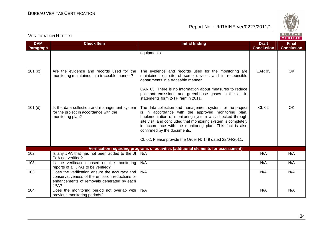

| <b>DVM</b>       | <b>Check Item</b>                                                                                                                                     | <b>Initial finding</b>                                                                                                                                                                                                                                                                                                                                                                               | <b>Draft</b><br><b>Conclusion</b> | <b>Final</b><br><b>Conclusion</b> |
|------------------|-------------------------------------------------------------------------------------------------------------------------------------------------------|------------------------------------------------------------------------------------------------------------------------------------------------------------------------------------------------------------------------------------------------------------------------------------------------------------------------------------------------------------------------------------------------------|-----------------------------------|-----------------------------------|
| <b>Paragraph</b> |                                                                                                                                                       | equipments.                                                                                                                                                                                                                                                                                                                                                                                          |                                   |                                   |
| 101(c)           | Are the evidence and records used for the<br>monitoring maintained in a traceable manner?                                                             | The evidence and records used for the monitoring are<br>maintained on site of some devices and in responsible<br>departments in a traceable manner.<br>CAR 03. There is no information about measures to reduce<br>pollutant emissions and greenhouse gases in the air in<br>statements form 2-TP "air" in 2011.                                                                                     | <b>CAR 03</b>                     | OK                                |
| $101$ (d)        | Is the data collection and management system<br>for the project in accordance with the<br>monitoring plan?                                            | The data collection and management system for the project<br>is in accordance with the approved monitoring plan.<br>Implementation of monitoring system was checked through<br>site visit, and concluded that monitoring system is completely<br>in accordance with the monitoring plan. This fact is also<br>confirmed by the documents.<br>CL 02. Please provide the Order № 149 dated 22/04/2011. | <b>CL 02</b>                      | OK                                |
|                  |                                                                                                                                                       | Verification regarding programs of activities (additional elements for assessment)                                                                                                                                                                                                                                                                                                                   |                                   |                                   |
| 102              | Is any JPA that has not been added to the JI<br>PoA not verified?                                                                                     | N/A                                                                                                                                                                                                                                                                                                                                                                                                  | N/A                               | N/A                               |
| 103              | Is the verification based on the monitoring<br>reports of all JPAs to be verified?                                                                    | N/A                                                                                                                                                                                                                                                                                                                                                                                                  | N/A                               | N/A                               |
| 103              | Does the verification ensure the accuracy and<br>conservativeness of the emission reductions or<br>enhancements of removals generated by each<br>JPA? | N/A                                                                                                                                                                                                                                                                                                                                                                                                  | N/A                               | N/A                               |
| 104              | Does the monitoring period not overlap with<br>previous monitoring periods?                                                                           | N/A                                                                                                                                                                                                                                                                                                                                                                                                  | N/A                               | N/A                               |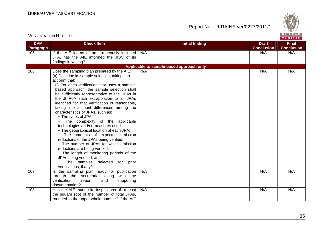

| <b>VERIFICATION REPORT</b> |                                                                                                                                                                                                                                                                                                                                                                                                                                                                                                                                                                                                                                                                                                                                                                                                                                                                                                    |                                          | BUREAU<br>VERITAS                 |                                   |
|----------------------------|----------------------------------------------------------------------------------------------------------------------------------------------------------------------------------------------------------------------------------------------------------------------------------------------------------------------------------------------------------------------------------------------------------------------------------------------------------------------------------------------------------------------------------------------------------------------------------------------------------------------------------------------------------------------------------------------------------------------------------------------------------------------------------------------------------------------------------------------------------------------------------------------------|------------------------------------------|-----------------------------------|-----------------------------------|
| <b>DVM</b><br>Paragraph    | <b>Check Item</b>                                                                                                                                                                                                                                                                                                                                                                                                                                                                                                                                                                                                                                                                                                                                                                                                                                                                                  | <b>Initial finding</b>                   | <b>Draft</b><br><b>Conclusion</b> | <b>Final</b><br><b>Conclusion</b> |
| 105                        | If the AIE learns of an erroneously included<br>JPA, has the AIE informed the JISC of its<br>findings in writing?                                                                                                                                                                                                                                                                                                                                                                                                                                                                                                                                                                                                                                                                                                                                                                                  | N/A                                      | N/A                               | N/A                               |
|                            |                                                                                                                                                                                                                                                                                                                                                                                                                                                                                                                                                                                                                                                                                                                                                                                                                                                                                                    | Applicable to sample-based approach only |                                   |                                   |
| 106                        | Does the sampling plan prepared by the AIE:<br>(a) Describe its sample selection, taking into<br>account that:<br>(i) For each verification that uses a sample-<br>based approach, the sample selection shall<br>be sufficiently representative of the JPAs in<br>the JI PoA such extrapolation to all JPAs<br>identified for that verification is reasonable,<br>taking into account differences among the<br>characteristics of JPAs, such as:<br>- The types of JPAs;<br>- The complexity of the applicable<br>technologies and/or measures used;<br>- The geographical location of each JPA;<br>- The amounts of expected emission<br>reductions of the JPAs being verified;<br>- The number of JPAs for which emission<br>reductions are being verified;<br>- The length of monitoring periods of the<br>JPAs being verified; and<br>The samples selected for prior<br>verifications, if any? | N/A                                      | N/A                               | N/A                               |
| 107                        | Is the sampling plan ready for publication<br>through the secretariat along with the<br>verification<br>report<br>and<br>supporting<br>documentation?                                                                                                                                                                                                                                                                                                                                                                                                                                                                                                                                                                                                                                                                                                                                              | N/A                                      | N/A                               | N/A                               |
| 108                        | Has the AIE made site inspections of at least<br>the square root of the number of total JPAs,<br>rounded to the upper whole number? If the AIE                                                                                                                                                                                                                                                                                                                                                                                                                                                                                                                                                                                                                                                                                                                                                     | N/A                                      | N/A                               | N/A                               |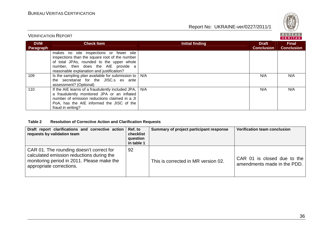

### VERIFICATION REPORT

|                         |                                                                                                                                                                                                                            |                 |                                   | . . <u>.</u>                      |
|-------------------------|----------------------------------------------------------------------------------------------------------------------------------------------------------------------------------------------------------------------------|-----------------|-----------------------------------|-----------------------------------|
| <b>DVM</b><br>Paragraph | <b>Check Item</b>                                                                                                                                                                                                          | Initial finding | <b>Draft</b><br><b>Conclusion</b> | <b>Final</b><br><b>Conclusion</b> |
|                         | makes no site inspections or fewer site<br>inspections than the square root of the number<br>of total JPAs, rounded to the upper whole<br>number, then does the AIE provide a<br>reasonable explanation and justification? |                 |                                   |                                   |
| 109                     | Is the sampling plan available for submission to  <br>the secretariat for the JISC.s ex ante<br>assessment? (Optional)                                                                                                     | N/A             | N/A                               | N/A                               |
| 110                     | If the AIE learns of a fraudulently included JPA,<br>a fraudulently monitored JPA or an inflated<br>number of emission reductions claimed in a JI<br>PoA, has the AIE informed the JISC of the<br>fraud in writing?        | N/A             | N/A                               | N/A                               |

#### **Table 2 Resolution of Corrective Action and Clarification Requests**

| Draft report clarifications and corrective action Ref. to<br>requests by validation team                                                                        | checklist<br>question<br>in table 1 | Summary of project participant response | Verification team conclusion                               |
|-----------------------------------------------------------------------------------------------------------------------------------------------------------------|-------------------------------------|-----------------------------------------|------------------------------------------------------------|
| CAR 01. The rounding doesn't correct for<br>calculated emission reductions during the<br>monitoring period in 2011. Please make the<br>appropriate corrections. | 92                                  | This is corrected in MR version 02.     | CAR 01 is closed due to the<br>amendments made in the PDD. |